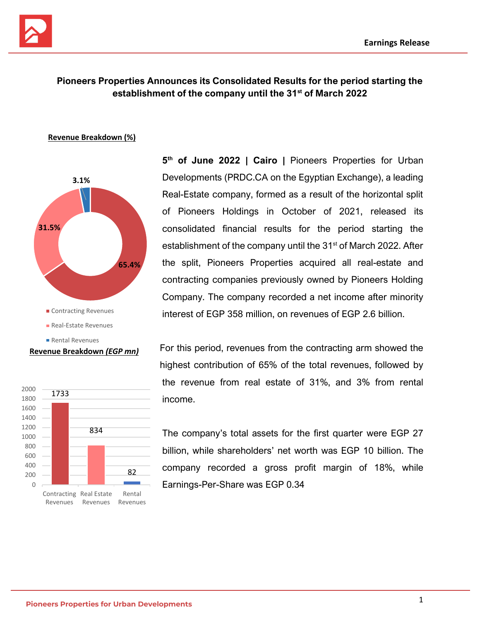



# **Pioneers Properties Announces its Consolidated Results for the period starting the establishment of the company until the 31st of March 2022**

#### **Revenue Breakdown (%)**



#### **Revenue Breakdown** *(EGP mn)*



**5 th of June 2022 | Cairo |** Pioneers Properties for Urban Developments (PRDC.CA on the Egyptian Exchange), a leading Real-Estate company, formed as a result of the horizontal split of Pioneers Holdings in October of 2021, released its consolidated financial results for the period starting the establishment of the company until the 31<sup>st</sup> of March 2022. After the split, Pioneers Properties acquired all real-estate and contracting companies previously owned by Pioneers Holding Company. The company recorded a net income after minority interest of EGP 358 million, on revenues of EGP 2.6 billion.

For this period, revenues from the contracting arm showed the highest contribution of 65% of the total revenues, followed by the revenue from real estate of 31%, and 3% from rental income.

The company's total assets for the first quarter were EGP 27 billion, while shareholders' net worth was EGP 10 billion. The company recorded a gross profit margin of 18%, while Earnings-Per-Share was EGP 0.34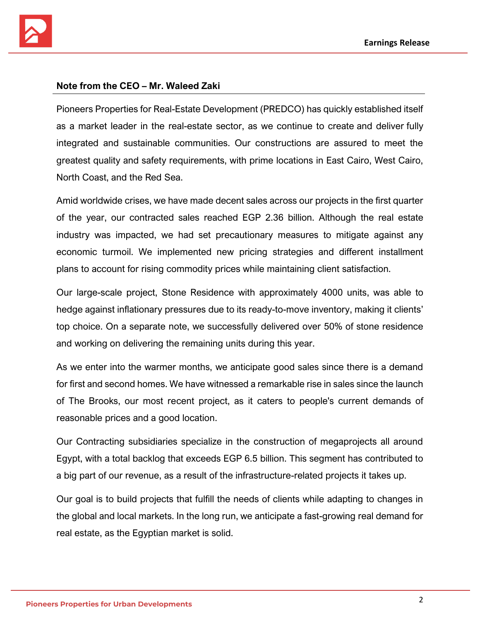

### **Note from the CEO – Mr. Waleed Zaki**

Pioneers Properties for Real-Estate Development (PREDCO) has quickly established itself as a market leader in the real-estate sector, as we continue to create and deliver fully integrated and sustainable communities. Our constructions are assured to meet the greatest quality and safety requirements, with prime locations in East Cairo, West Cairo, North Coast, and the Red Sea.

Amid worldwide crises, we have made decent sales across our projects in the first quarter of the year, our contracted sales reached EGP 2.36 billion. Although the real estate industry was impacted, we had set precautionary measures to mitigate against any economic turmoil. We implemented new pricing strategies and different installment plans to account for rising commodity prices while maintaining client satisfaction.

Our large-scale project, Stone Residence with approximately 4000 units, was able to hedge against inflationary pressures due to its ready-to-move inventory, making it clients' top choice. On a separate note, we successfully delivered over 50% of stone residence and working on delivering the remaining units during this year.

As we enter into the warmer months, we anticipate good sales since there is a demand for first and second homes. We have witnessed a remarkable rise in sales since the launch of The Brooks, our most recent project, as it caters to people's current demands of reasonable prices and a good location.

Our Contracting subsidiaries specialize in the construction of megaprojects all around Egypt, with a total backlog that exceeds EGP 6.5 billion. This segment has contributed to a big part of our revenue, as a result of the infrastructure-related projects it takes up.

Our goal is to build projects that fulfill the needs of clients while adapting to changes in the global and local markets. In the long run, we anticipate a fast-growing real demand for real estate, as the Egyptian market is solid.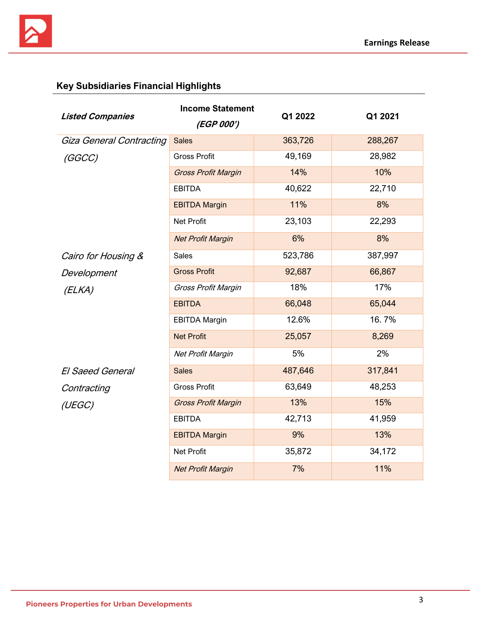

# **Key Subsidiaries Financial Highlights**

| <b>Listed Companies</b>         | <b>Income Statement</b><br>Q1 2022 |         | Q1 2021 |
|---------------------------------|------------------------------------|---------|---------|
|                                 | <i>(EGP 000')</i>                  |         |         |
| <b>Giza General Contracting</b> | <b>Sales</b>                       | 363,726 | 288,267 |
| (GGCC)                          | <b>Gross Profit</b>                | 49,169  | 28,982  |
|                                 | <b>Gross Profit Margin</b>         | 14%     | 10%     |
|                                 | <b>EBITDA</b>                      | 40,622  | 22,710  |
|                                 | <b>EBITDA Margin</b>               | 11%     | 8%      |
|                                 | Net Profit                         | 23,103  | 22,293  |
|                                 | <b>Net Profit Margin</b>           | 6%      | 8%      |
| Cairo for Housing &             | <b>Sales</b>                       | 523,786 | 387,997 |
| Development                     | <b>Gross Profit</b>                | 92,687  | 66,867  |
| (ELKA)                          | Gross Profit Margin                | 18%     | 17%     |
|                                 | <b>EBITDA</b>                      | 66,048  | 65,044  |
|                                 | <b>EBITDA Margin</b>               | 12.6%   | 16.7%   |
|                                 | <b>Net Profit</b>                  | 25,057  | 8,269   |
|                                 | Net Profit Margin                  | 5%      | 2%      |
| <b>El Saeed General</b>         | <b>Sales</b>                       | 487,646 | 317,841 |
| Contracting                     | <b>Gross Profit</b>                | 63,649  | 48,253  |
| (UEGC)                          | <b>Gross Profit Margin</b>         | 13%     | 15%     |
|                                 | <b>EBITDA</b>                      | 42,713  | 41,959  |
|                                 | <b>EBITDA Margin</b>               | 9%      | 13%     |
|                                 | Net Profit                         | 35,872  | 34,172  |
|                                 | <b>Net Profit Margin</b>           | 7%      | 11%     |